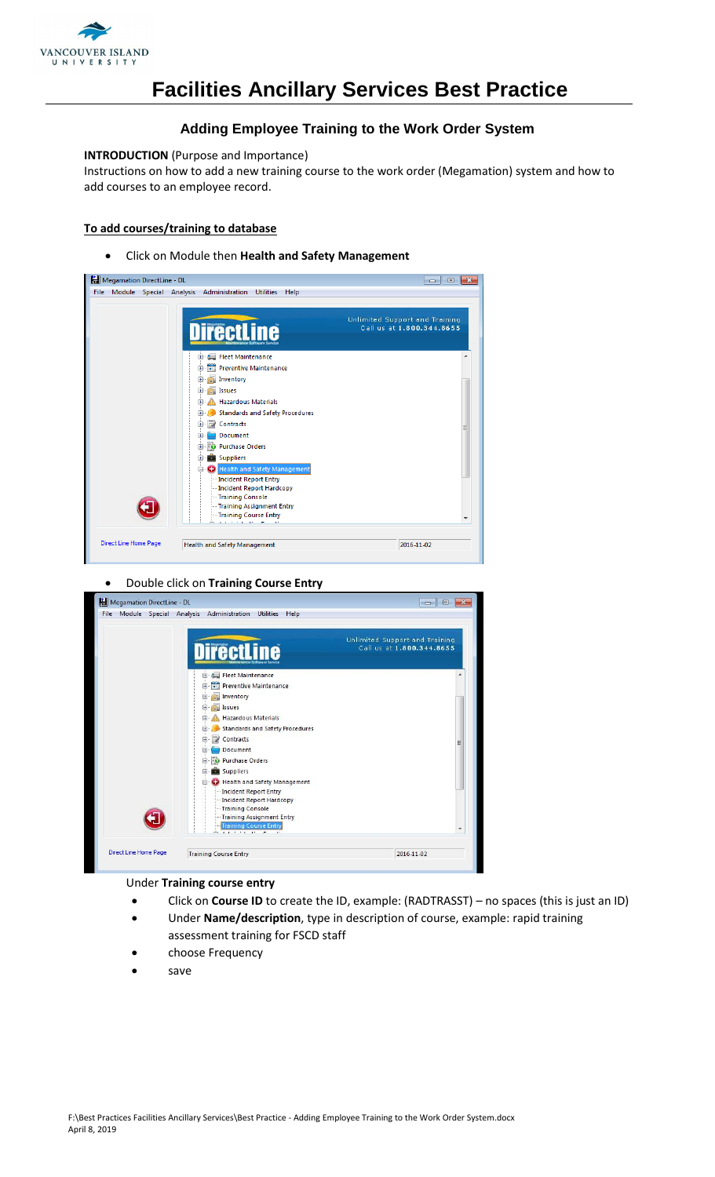

### **Adding Employee Training to the Work Order System**

### **INTRODUCTION** (Purpose and Importance)

Instructions on how to add a new training course to the work order (Megamation) system and how to add courses to an employee record.

### **To add courses/training to database**

Click on Module then **Health and Safety Management**

| Megamation DirectLine - DL |                                                                                      | $\mathbf{x}$<br>$\Box$<br>$\Box$                            |
|----------------------------|--------------------------------------------------------------------------------------|-------------------------------------------------------------|
| <b>File</b>                | Module Special Analysis Administration<br><b>Utilities</b><br>Help                   |                                                             |
|                            | <b>irectl</b><br>ine                                                                 | Unlimited Support and Training<br>Call us at 1,800,344,8655 |
|                            | Fleet Maintenance<br><b>FRIDER</b> Preventive Maintenance<br>田一                      |                                                             |
|                            | Inventory<br>田<br>Ħ.<br>Issues<br>围                                                  |                                                             |
|                            | <b>Hazardous Materials</b><br>田<br><b>Standards and Safety Procedures</b><br>围       |                                                             |
|                            | Contracts<br>由<br>Document<br>$\pm$                                                  |                                                             |
|                            | <b>D</b> Purchase Orders<br>Œ<br><b>Suppliers</b>                                    |                                                             |
|                            | Health and Safety Management<br>Incident Report Entry<br>-- Incident Report Hardcopy |                                                             |
|                            | -- Training Console<br>--- Training Assignment Entry                                 |                                                             |
|                            | - Training Course Entry<br><b>Service</b>                                            |                                                             |
| Direct Line Home Page      | Health and Safety Management                                                         | 2016-11-02                                                  |

Double click on **Training Course Entry**

| File |                       | Module Special Analysis Administration                                                                                                                                                                                  | Utilities Help                                                                                                                                                                                                      |                                                             |        |
|------|-----------------------|-------------------------------------------------------------------------------------------------------------------------------------------------------------------------------------------------------------------------|---------------------------------------------------------------------------------------------------------------------------------------------------------------------------------------------------------------------|-------------------------------------------------------------|--------|
|      |                       | <b>lirectLine</b>                                                                                                                                                                                                       |                                                                                                                                                                                                                     | Unlimited Support and Training<br>Call us at 1.800.344.8655 |        |
|      |                       | Fleet Maintenance<br>田<br>Inventory<br>$+$<br><b>Issues</b><br>田-<br>Hazardous Materials<br>田<br>Œ.<br>Contracts<br>$\mathbb{R}$<br>Document<br>匣<br>Purchase Orders<br>$+$<br>Suppliers<br>囲<br>⊟<br>-Training Console | Preventive Maintenance<br><b>Standards and Safety Procedures</b><br>Health and Safety Management<br>Incident Report Entry<br>Incident Report Hardcopy<br>-Training Assignment Entry<br><b>Training Course Entry</b> |                                                             | Ξ<br>× |
|      | Direct Line Home Page | <b>Training Course Entry</b>                                                                                                                                                                                            |                                                                                                                                                                                                                     | 2016-11-02                                                  |        |

#### Under **Training course entry**

- Click on **Course ID** to create the ID, example: (RADTRASST) no spaces (this is just an ID)
- Under **Name/description**, type in description of course, example: rapid training assessment training for FSCD staff
- choose Frequency
- save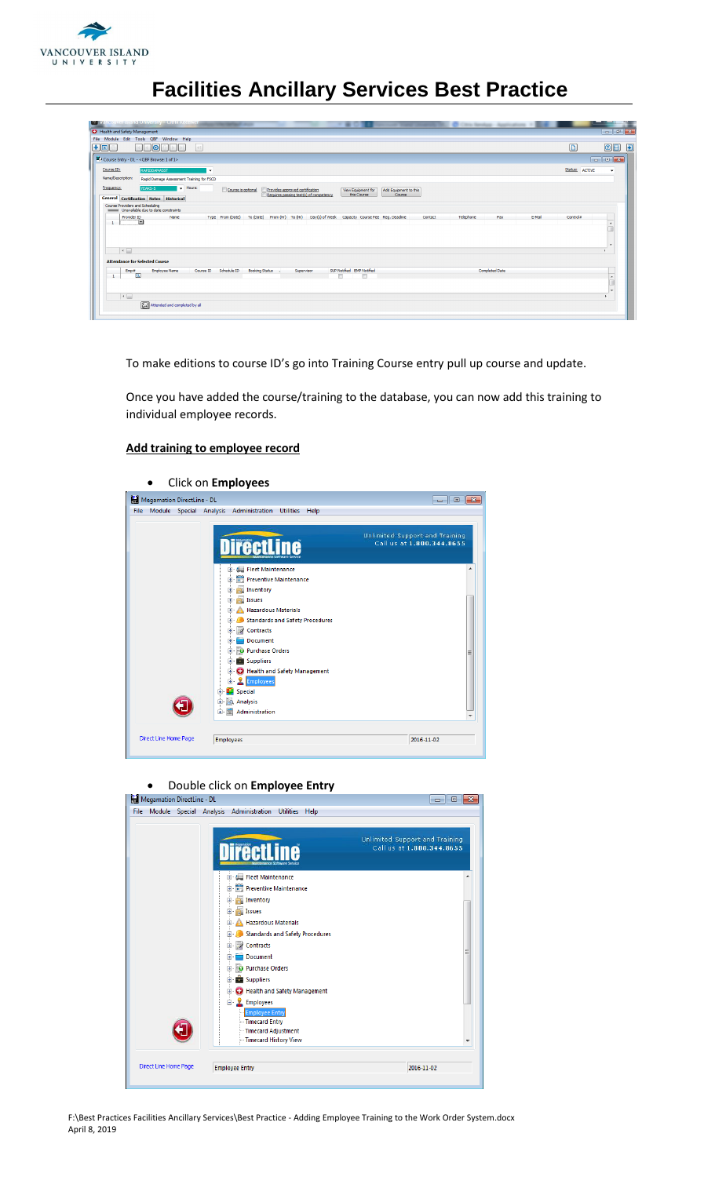

| <b>NUT Vancouver Island University - Citrix Receiver</b><br><b>Children Services - An</b>                                                                                                                                                                                                   |                |                                |
|---------------------------------------------------------------------------------------------------------------------------------------------------------------------------------------------------------------------------------------------------------------------------------------------|----------------|--------------------------------|
| Health and Safety Management                                                                                                                                                                                                                                                                |                |                                |
| File Module Edit Tools QBF Window Help                                                                                                                                                                                                                                                      |                |                                |
| H <sub>0</sub><br><b>I</b> ol<br> 41                                                                                                                                                                                                                                                        | $\boxed{D}$    | $\bullet$<br>$\odot$ E         |
| EJ Course Entry - DL - < QBF Browse: 1 of 1>                                                                                                                                                                                                                                                |                |                                |
| Course ID:<br><b>RAPIDOAMASST</b><br>l v                                                                                                                                                                                                                                                    | Status: ACTIVE | ۰.                             |
| Name/Description:<br>Rapid Damage Assessment Training for FSCD                                                                                                                                                                                                                              |                |                                |
| $\overline{\phantom{a}}$ Hours:<br>Frequency:<br>YEARS-5<br>Provides approved certification<br>Course is optional<br>Add Equipment to this<br><b>View Equipment for</b><br>Requires passing test(s) of competency<br>this Course<br>Course<br><b>General Certification Notes Historical</b> |                |                                |
| Course Providers and Scheduling<br>Unavailable due to date constraints                                                                                                                                                                                                                      |                |                                |
| Day(s) of Week Capacity Course Fee Reg. Deadine<br>Telephone<br>E-Mail<br>To (Date) From (Hr) To (Hr)<br>Provider ID<br>Name<br>Type From (Date)<br>Contact<br>Fax<br>$\Box$<br>$\mathbf{1}$                                                                                                | Control#       |                                |
| $\left  \cdot \right $<br><b>Attendance for Selected Course</b>                                                                                                                                                                                                                             |                |                                |
| Schedule ID<br>SUP Notified EMP Notified<br><b>Completed Date</b><br>Course ID<br><b>Booking Status .</b><br><b>Employee Name</b><br>Supervisor<br>Emp#<br>Q<br>$\mathbf{1}$                                                                                                                |                | $\blacktriangle$<br><b>Sec</b> |
| $\left  \cdot \right $<br>Attended and completed by all                                                                                                                                                                                                                                     |                |                                |

To make editions to course ID's go into Training Course entry pull up course and update.

Once you have added the course/training to the database, you can now add this training to individual employee records.

#### **Add training to employee record**

|                                             | Click on Employees                                                                                                                     |                                                             |
|---------------------------------------------|----------------------------------------------------------------------------------------------------------------------------------------|-------------------------------------------------------------|
| Megamation DirectLine - DL                  |                                                                                                                                        |                                                             |
| File Module Special Analysis Administration | <b>Utilities</b><br>Help                                                                                                               |                                                             |
|                                             | ne                                                                                                                                     | Unlimited Support and Training<br>Call us at 1.800.344.8655 |
|                                             | El- Elect Maintenance<br><b>Preventive Maintenance</b><br>÷F<br><b>Inventory</b><br>$\mathbf{H}$<br>Issues<br>田                        |                                                             |
|                                             | A Hazardous Materials<br>圃<br>Standards and Safety Procedures<br>田…<br>Contracts<br>Ė<br>Document<br>田                                 |                                                             |
|                                             | <b>D</b> Purchase Orders<br>田<br>Suppliers<br>圧<br>C Health and Safety Management<br>由<br><b>Employees</b><br>Œ<br><b>Special</b><br>Ŧ |                                                             |
| Direct Line Home Page                       | <b>C</b> Analysis<br>由<br>Administration<br>田一<br>Ξ<br><b>Employees</b>                                                                | 2016-11-02                                                  |
|                                             |                                                                                                                                        |                                                             |

## **•** Double click on **Employee Entry**<br> **Example on** DirectLine - DL

| Megamation DirectLine - DL |                                                                                                                                                                                                                                                                                                                                                                                                                                      | 同<br>$\Box$                                                 |
|----------------------------|--------------------------------------------------------------------------------------------------------------------------------------------------------------------------------------------------------------------------------------------------------------------------------------------------------------------------------------------------------------------------------------------------------------------------------------|-------------------------------------------------------------|
| <b>File</b>                | <b>Utilities</b><br>Module Special Analysis Administration<br>Help                                                                                                                                                                                                                                                                                                                                                                   |                                                             |
|                            | <b>irectLine</b>                                                                                                                                                                                                                                                                                                                                                                                                                     | Unlimited Support and Training<br>Call us at 1.800.344.8655 |
|                            | Fleet Maintenance<br>Preventive Maintenance<br>中<br>Inventory<br>$\overline{+}$<br>Issues<br>$\overline{+}$<br><b>Hazardous Materials</b><br>$\overline{+}$<br><b>Standards and Safety Procedures</b><br>$\overline{+}$<br>Contracts<br>田<br>Document<br>Ŧ<br><b>D</b> Purchase Orders<br>田<br><b>Suppliers</b><br>$\mathbf{H}$<br><b>C</b> Health and Safety Management<br>$\mathbf{F}$<br>Employees<br>e-<br><b>Employee Entry</b> | Ξ                                                           |
|                            | <b>Timecard Entry</b><br>- Timecard Adjustment<br>Timecard History View                                                                                                                                                                                                                                                                                                                                                              | ٠                                                           |
|                            |                                                                                                                                                                                                                                                                                                                                                                                                                                      |                                                             |

F:\Best Practices Facilities Ancillary Services\Best Practice - Adding Employee Training to the Work Order System.docx April 8, 2019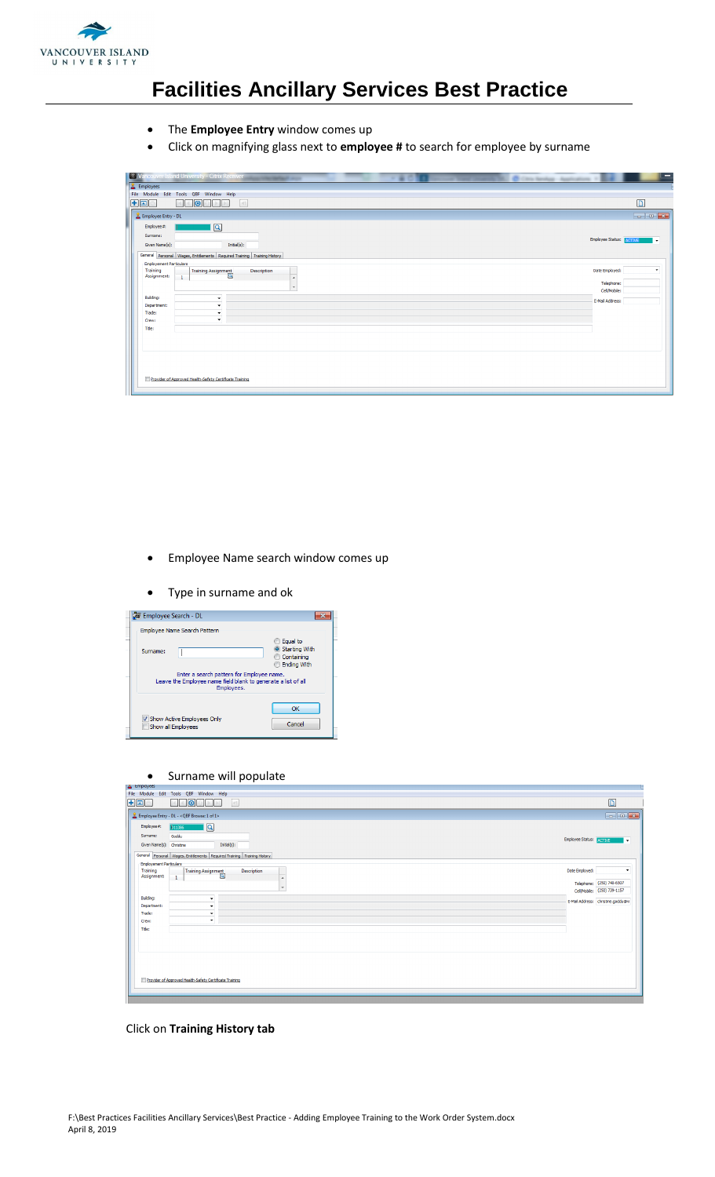

- The **Employee Entry** window comes up
- Click on magnifying glass next to **employee #** to search for employee by surname

|                                | C Vancouver Island University - Citrix Receiver         |                                                                         |                  | Citiz Smith Applications |                                         |
|--------------------------------|---------------------------------------------------------|-------------------------------------------------------------------------|------------------|--------------------------|-----------------------------------------|
| <b>E</b> Employees             |                                                         |                                                                         |                  |                          |                                         |
|                                | File Module Edit Tools QBF Window Help                  |                                                                         |                  |                          |                                         |
| $H$ o $\Box$                   | 0 <br>a.                                                | 41                                                                      |                  |                          | D.                                      |
| & Employee Entry - DL          |                                                         |                                                                         |                  |                          |                                         |
| Employee#:                     | $\sqrt{a}$                                              |                                                                         |                  |                          |                                         |
| Surname:                       |                                                         |                                                                         |                  |                          |                                         |
| Given Name(s):                 |                                                         | Initial(s):                                                             |                  |                          | Employee Status: ACTIVE<br>$\mathbf{v}$ |
|                                |                                                         | General Personal Wages, Entitlements Required Training Training History |                  |                          |                                         |
| <b>Employement Particulars</b> |                                                         |                                                                         |                  |                          |                                         |
| <b>Training</b><br>Assignment: | Training Assignment                                     | Description                                                             |                  | Date Employed:           | $\cdot$                                 |
|                                | $\mathbf{1}$                                            |                                                                         | $\blacktriangle$ | Telephone:               |                                         |
|                                |                                                         |                                                                         | $\cdot$          | Cell/Mobile:             |                                         |
| Building:                      |                                                         |                                                                         |                  | E-Mail Address:          |                                         |
| Department:                    | $\bullet$                                               |                                                                         |                  |                          |                                         |
| Trade:                         | $\color{red}\mathbf{v}$                                 |                                                                         |                  |                          |                                         |
| Crew:                          | $\star$                                                 |                                                                         |                  |                          |                                         |
| Title:                         |                                                         |                                                                         |                  |                          |                                         |
|                                |                                                         |                                                                         |                  |                          |                                         |
|                                |                                                         |                                                                         |                  |                          |                                         |
|                                |                                                         |                                                                         |                  |                          |                                         |
|                                |                                                         |                                                                         |                  |                          |                                         |
|                                |                                                         |                                                                         |                  |                          |                                         |
|                                | Provider of Approved Health-Safety Certificate Training |                                                                         |                  |                          |                                         |
|                                |                                                         |                                                                         |                  |                          |                                         |
|                                |                                                         |                                                                         |                  |                          |                                         |

- Employee Name search window comes up
- Type in surname and ok

| <b>Solid Employee Search - DL</b>                                                                                                                                                                     |
|-------------------------------------------------------------------------------------------------------------------------------------------------------------------------------------------------------|
| Employee Name Search Pattern                                                                                                                                                                          |
| Equal to<br>Starting With<br>Surname:<br>Containing<br><b>Ending With</b><br>Enter a search pattern for Employee name.<br>Leave the Employee name field blank to generate a list of all<br>Employees. |
| OK<br>V Show Active Employees Only<br>Cancel<br>Show all Employees                                                                                                                                    |

• Surname will populate

| $\blacksquare$ compressed                                               |                         |                                    |
|-------------------------------------------------------------------------|-------------------------|------------------------------------|
| File Module Edit Tools QBF Window Help                                  |                         |                                    |
| $+$ O $\Box$<br>101<br>$\vert$ 41<br>$G \Rightarrow  A $<br>$\sim$      |                         | $\boxed{D}$                        |
| Employee Entry - DL - < QBF Browse: 1 of 1>                             |                         |                                    |
| $\overline{\mathsf{R}}$<br>Employee#:<br><b>D11386</b>                  |                         |                                    |
| Surname:<br>Goddu                                                       | Employee Status: ACTIVE | $\bullet$                          |
| Given Name(s): Christine<br>Initial(s):                                 |                         |                                    |
| General Personal Wages, Entitlements Required Training Training History |                         |                                    |
| <b>Employement Particulars</b><br>Training<br>Description               | Date Employed:          | ۰                                  |
| Training Assignment<br>Assignment:<br>$\mathbf{1}$<br>×                 |                         |                                    |
|                                                                         |                         | Telephone: (250) 740-6507          |
| $\cdot$                                                                 |                         | Cell/Mobile: (250) 739-1157        |
| Building:<br>۰<br>Department:                                           |                         | E-Mail Address: christine.goddu@vi |
| ۰<br>Trade:<br>۰                                                        |                         |                                    |
| ۰<br>Crew:                                                              |                         |                                    |
| Title:                                                                  |                         |                                    |
|                                                                         |                         |                                    |
|                                                                         |                         |                                    |
|                                                                         |                         |                                    |
|                                                                         |                         |                                    |
|                                                                         |                         |                                    |
| Provider of Approved Health-Safety Certificate Training                 |                         |                                    |
|                                                                         |                         |                                    |
|                                                                         |                         |                                    |

Click on **Training History tab**